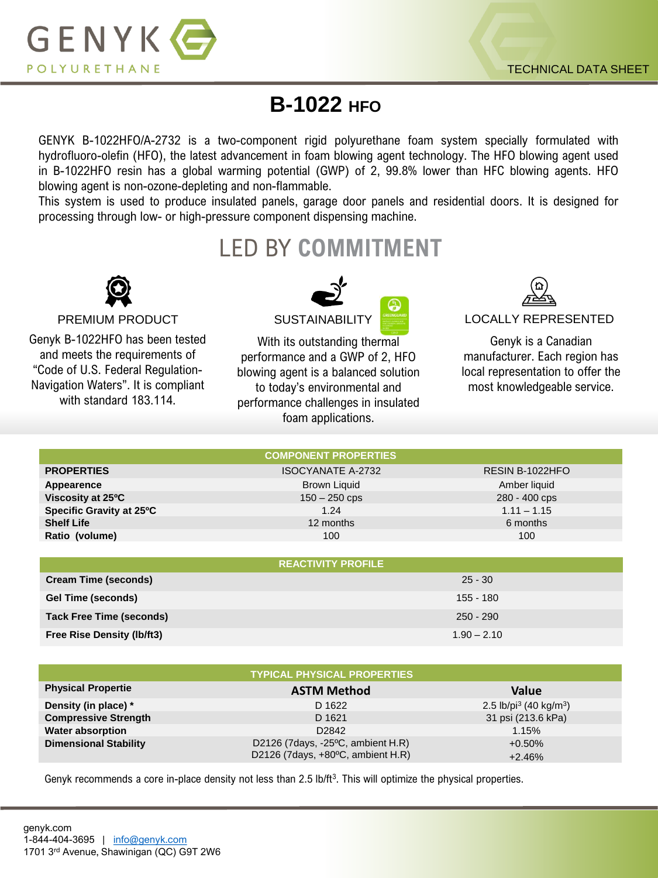

## **B-1022 HFO**

GENYK B-1022HFO/A-2732 is a two-component rigid polyurethane foam system specially formulated with hydrofluoro-olefin (HFO), the latest advancement in foam blowing agent technology. The HFO blowing agent used in B-1022HFO resin has a global warming potential (GWP) of 2, 99.8% lower than HFC blowing agents. HFO blowing agent is non-ozone-depleting and non-flammable.

This system is used to produce insulated panels, garage door panels and residential doors. It is designed for processing through low- or high-pressure component dispensing machine.

## LED BY **COMMITMENT**



Genyk B-1022HFO has been tested and meets the requirements of "Code of U.S. Federal Regulation-Navigation Waters". It is compliant with standard 183.114.



With its outstanding thermal performance and a GWP of 2, HFO blowing agent is a balanced solution to today's environmental and performance challenges in insulated foam applications.



PREMIUM PRODUCT SUSTAINABILITY SUSTAIN BILITY SUSTAIN A LOCALLY REPRESENTED

Genyk is a Canadian manufacturer. Each region has local representation to offer the most knowledgeable service.

|                                 | <b>COMPONENT PROPERTIES</b> |                 |  |
|---------------------------------|-----------------------------|-----------------|--|
| <b>PROPERTIES</b>               | <b>ISOCYANATE A-2732</b>    | RESIN B-1022HFO |  |
| Appearence                      | <b>Brown Liquid</b>         | Amber liquid    |  |
| Viscosity at 25°C               | $150 - 250$ cps             | 280 - 400 cps   |  |
| Specific Gravity at 25°C        | 1.24                        | $1.11 - 1.15$   |  |
| <b>Shelf Life</b>               | 12 months                   | 6 months        |  |
| Ratio (volume)                  | 100                         | 100             |  |
|                                 |                             |                 |  |
|                                 | <b>REACTIVITY PROFILE</b>   |                 |  |
| <b>Cream Time (seconds)</b>     | $25 - 30$                   |                 |  |
| <b>Gel Time (seconds)</b>       | 155 - 180                   |                 |  |
| <b>Tack Free Time (seconds)</b> | $250 - 290$                 |                 |  |
| Free Rise Density (lb/ft3)      | $1.90 - 2.10$               |                 |  |

|                              | <b>TYPICAL PHYSICAL PROPERTIES</b>                                     |                                                |
|------------------------------|------------------------------------------------------------------------|------------------------------------------------|
| <b>Physical Propertie</b>    | <b>ASTM Method</b>                                                     | <b>Value</b>                                   |
| Density (in place) *         | D 1622                                                                 | 2.5 lb/pi <sup>3</sup> (40 kg/m <sup>3</sup> ) |
| <b>Compressive Strength</b>  | D 1621                                                                 | 31 psi (213.6 kPa)                             |
| <b>Water absorption</b>      | D <sub>2842</sub>                                                      | 1.15%                                          |
| <b>Dimensional Stability</b> | D2126 (7days, -25°C, ambient H.R)<br>D2126 (7days, +80°C, ambient H.R) | $+0.50%$                                       |
|                              |                                                                        | $+2.46%$                                       |

Genyk recommends a core in-place density not less than 2.5 lb/ft<sup>3</sup>. This will optimize the physical properties.